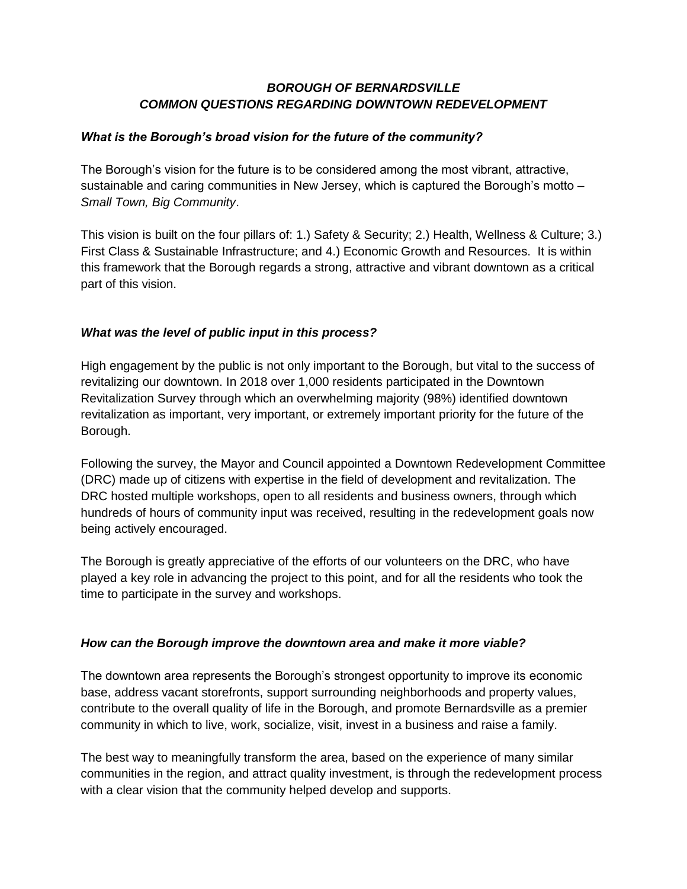# *BOROUGH OF BERNARDSVILLE COMMON QUESTIONS REGARDING DOWNTOWN REDEVELOPMENT*

## *What is the Borough's broad vision for the future of the community?*

The Borough's vision for the future is to be considered among the most vibrant, attractive, sustainable and caring communities in New Jersey, which is captured the Borough's motto – *Small Town, Big Community*.

This vision is built on the four pillars of: 1.) Safety & Security; 2.) Health, Wellness & Culture; 3.) First Class & Sustainable Infrastructure; and 4.) Economic Growth and Resources. It is within this framework that the Borough regards a strong, attractive and vibrant downtown as a critical part of this vision.

# *What was the level of public input in this process?*

High engagement by the public is not only important to the Borough, but vital to the success of revitalizing our downtown. In 2018 over 1,000 residents participated in the Downtown Revitalization Survey through which an overwhelming majority (98%) identified downtown revitalization as important, very important, or extremely important priority for the future of the Borough.

Following the survey, the Mayor and Council appointed a Downtown Redevelopment Committee (DRC) made up of citizens with expertise in the field of development and revitalization. The DRC hosted multiple workshops, open to all residents and business owners, through which hundreds of hours of community input was received, resulting in the redevelopment goals now being actively encouraged.

The Borough is greatly appreciative of the efforts of our volunteers on the DRC, who have played a key role in advancing the project to this point, and for all the residents who took the time to participate in the survey and workshops.

# *How can the Borough improve the downtown area and make it more viable?*

The downtown area represents the Borough's strongest opportunity to improve its economic base, address vacant storefronts, support surrounding neighborhoods and property values, contribute to the overall quality of life in the Borough, and promote Bernardsville as a premier community in which to live, work, socialize, visit, invest in a business and raise a family.

The best way to meaningfully transform the area, based on the experience of many similar communities in the region, and attract quality investment, is through the redevelopment process with a clear vision that the community helped develop and supports.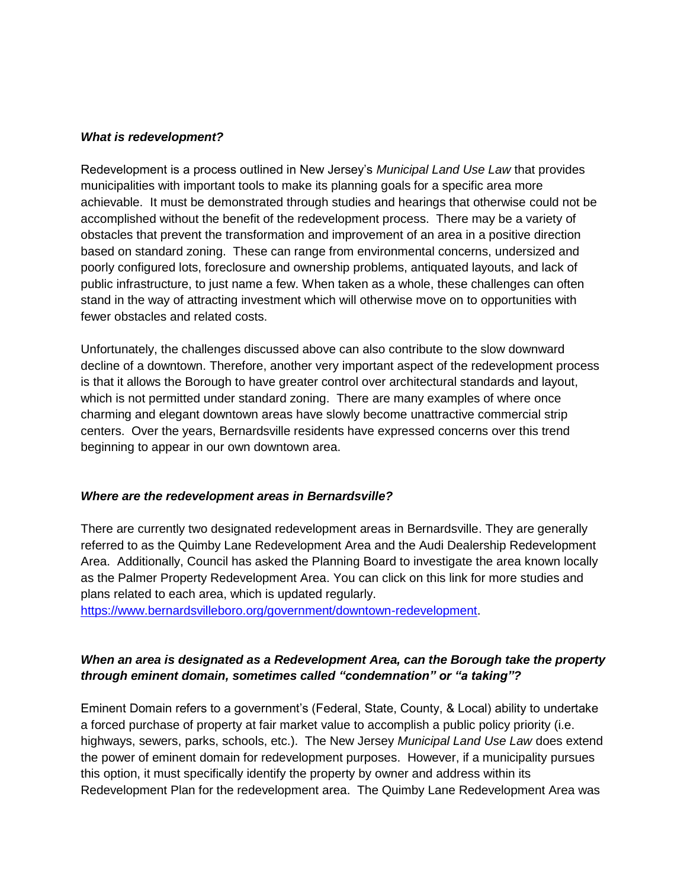#### *What is redevelopment?*

Redevelopment is a process outlined in New Jersey's *Municipal Land Use Law* that provides municipalities with important tools to make its planning goals for a specific area more achievable. It must be demonstrated through studies and hearings that otherwise could not be accomplished without the benefit of the redevelopment process. There may be a variety of obstacles that prevent the transformation and improvement of an area in a positive direction based on standard zoning. These can range from environmental concerns, undersized and poorly configured lots, foreclosure and ownership problems, antiquated layouts, and lack of public infrastructure, to just name a few. When taken as a whole, these challenges can often stand in the way of attracting investment which will otherwise move on to opportunities with fewer obstacles and related costs.

Unfortunately, the challenges discussed above can also contribute to the slow downward decline of a downtown. Therefore, another very important aspect of the redevelopment process is that it allows the Borough to have greater control over architectural standards and layout, which is not permitted under standard zoning. There are many examples of where once charming and elegant downtown areas have slowly become unattractive commercial strip centers. Over the years, Bernardsville residents have expressed concerns over this trend beginning to appear in our own downtown area.

#### *Where are the redevelopment areas in Bernardsville?*

There are currently two designated redevelopment areas in Bernardsville. They are generally referred to as the Quimby Lane Redevelopment Area and the Audi Dealership Redevelopment Area. Additionally, Council has asked the Planning Board to investigate the area known locally as the Palmer Property Redevelopment Area. You can click on this link for more studies and plans related to each area, which is updated regularly.

[https://www.bernardsvilleboro.org/government/downtown-redevelopment.](https://www.bernardsvilleboro.org/government/downtown-redevelopment)

### *When an area is designated as a Redevelopment Area, can the Borough take the property through eminent domain, sometimes called "condemnation" or "a taking"?*

Eminent Domain refers to a government's (Federal, State, County, & Local) ability to undertake a forced purchase of property at fair market value to accomplish a public policy priority (i.e. highways, sewers, parks, schools, etc.). The New Jersey *Municipal Land Use Law* does extend the power of eminent domain for redevelopment purposes. However, if a municipality pursues this option, it must specifically identify the property by owner and address within its Redevelopment Plan for the redevelopment area. The Quimby Lane Redevelopment Area was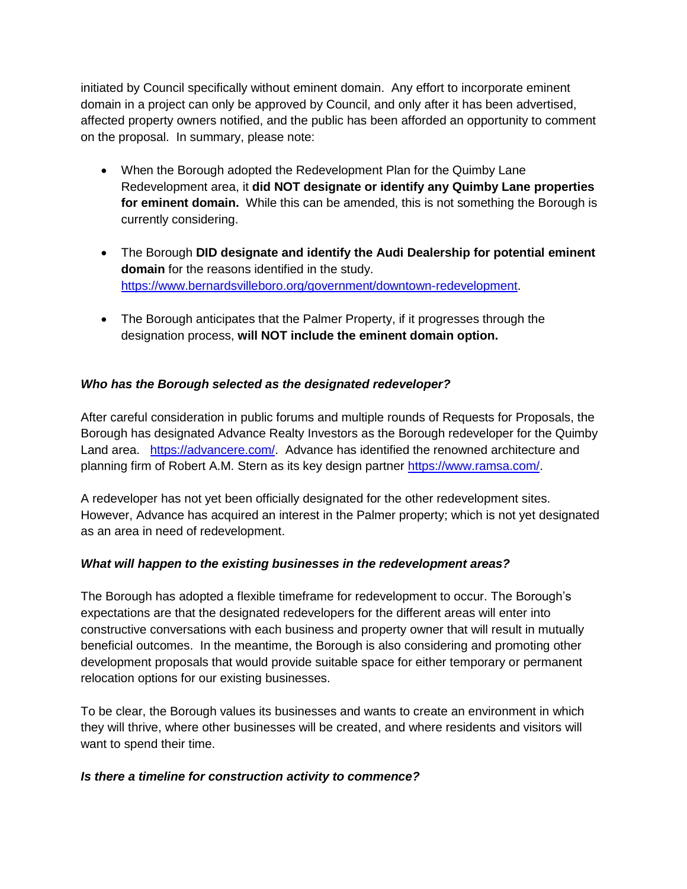initiated by Council specifically without eminent domain. Any effort to incorporate eminent domain in a project can only be approved by Council, and only after it has been advertised, affected property owners notified, and the public has been afforded an opportunity to comment on the proposal. In summary, please note:

- When the Borough adopted the Redevelopment Plan for the Quimby Lane Redevelopment area, it **did NOT designate or identify any Quimby Lane properties for eminent domain.** While this can be amended, this is not something the Borough is currently considering.
- The Borough **DID designate and identify the Audi Dealership for potential eminent domain** for the reasons identified in the study. [https://www.bernardsvilleboro.org/government/downtown-redevelopment.](https://www.bernardsvilleboro.org/government/downtown-redevelopment)
- The Borough anticipates that the Palmer Property, if it progresses through the designation process, **will NOT include the eminent domain option.**

# *Who has the Borough selected as the designated redeveloper?*

After careful consideration in public forums and multiple rounds of Requests for Proposals, the Borough has designated Advance Realty Investors as the Borough redeveloper for the Quimby Land area. [https://advancere.com/.](https://advancere.com/) Advance has identified the renowned architecture and planning firm of Robert A.M. Stern as its key design partner [https://www.ramsa.com/.](https://www.ramsa.com/)

A redeveloper has not yet been officially designated for the other redevelopment sites. However, Advance has acquired an interest in the Palmer property; which is not yet designated as an area in need of redevelopment.

# *What will happen to the existing businesses in the redevelopment areas?*

The Borough has adopted a flexible timeframe for redevelopment to occur. The Borough's expectations are that the designated redevelopers for the different areas will enter into constructive conversations with each business and property owner that will result in mutually beneficial outcomes. In the meantime, the Borough is also considering and promoting other development proposals that would provide suitable space for either temporary or permanent relocation options for our existing businesses.

To be clear, the Borough values its businesses and wants to create an environment in which they will thrive, where other businesses will be created, and where residents and visitors will want to spend their time.

### *Is there a timeline for construction activity to commence?*